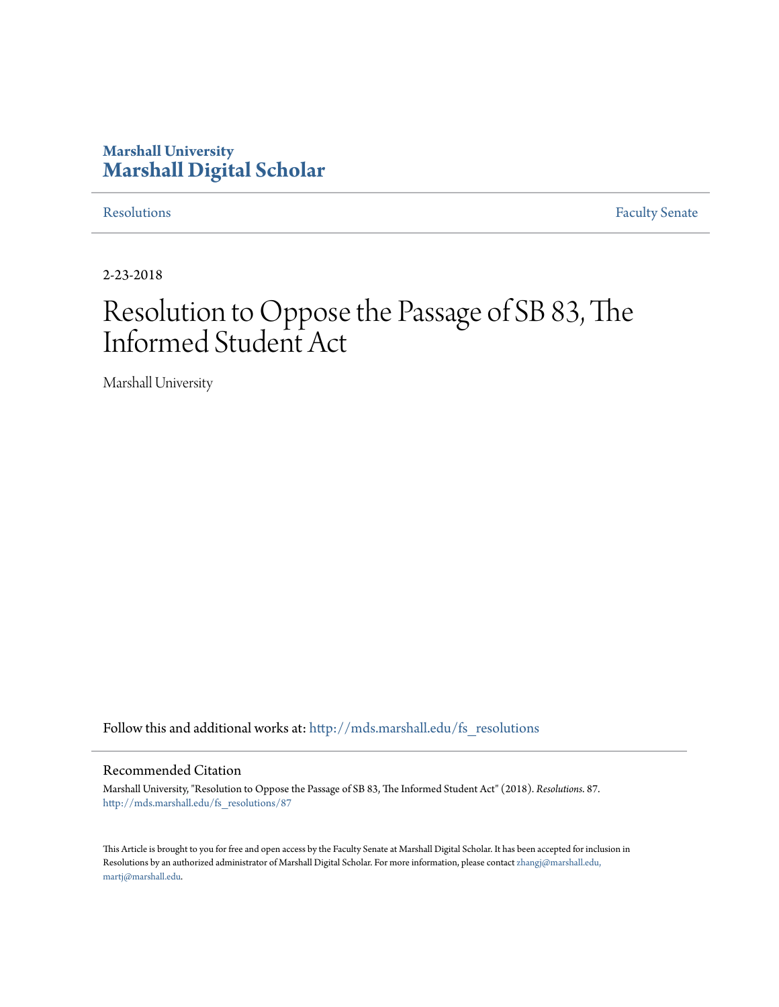## **Marshall University [Marshall Digital Scholar](http://mds.marshall.edu?utm_source=mds.marshall.edu%2Ffs_resolutions%2F87&utm_medium=PDF&utm_campaign=PDFCoverPages)**

[Resolutions](http://mds.marshall.edu/fs_resolutions?utm_source=mds.marshall.edu%2Ffs_resolutions%2F87&utm_medium=PDF&utm_campaign=PDFCoverPages) [Faculty Senate](http://mds.marshall.edu/fs?utm_source=mds.marshall.edu%2Ffs_resolutions%2F87&utm_medium=PDF&utm_campaign=PDFCoverPages)

2-23-2018

# Resolution to Oppose the Passage of SB 83, The Informed Student Act

Marshall University

Follow this and additional works at: [http://mds.marshall.edu/fs\\_resolutions](http://mds.marshall.edu/fs_resolutions?utm_source=mds.marshall.edu%2Ffs_resolutions%2F87&utm_medium=PDF&utm_campaign=PDFCoverPages)

#### Recommended Citation

Marshall University, "Resolution to Oppose the Passage of SB 83, The Informed Student Act" (2018). *Resolutions*. 87. [http://mds.marshall.edu/fs\\_resolutions/87](http://mds.marshall.edu/fs_resolutions/87?utm_source=mds.marshall.edu%2Ffs_resolutions%2F87&utm_medium=PDF&utm_campaign=PDFCoverPages)

This Article is brought to you for free and open access by the Faculty Senate at Marshall Digital Scholar. It has been accepted for inclusion in Resolutions by an authorized administrator of Marshall Digital Scholar. For more information, please contact [zhangj@marshall.edu,](mailto:zhangj@marshall.edu,%20martj@marshall.edu) [martj@marshall.edu](mailto:zhangj@marshall.edu,%20martj@marshall.edu).